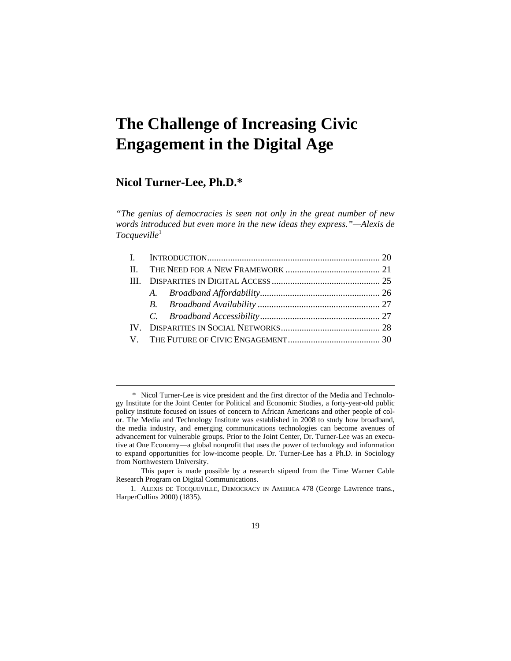# **The Challenge of Increasing Civic Engagement in the Digital Age**

## **Nicol Turner-Lee, Ph.D.\***

 $\overline{a}$ 

*"The genius of democracies is seen not only in the great number of new words introduced but even more in the new ideas they express."—Alexis de Tocqueville*<sup>1</sup>

 <sup>\*</sup> Nicol Turner-Lee is vice president and the first director of the Media and Technology Institute for the Joint Center for Political and Economic Studies, a forty-year-old public policy institute focused on issues of concern to African Americans and other people of color. The Media and Technology Institute was established in 2008 to study how broadband, the media industry, and emerging communications technologies can become avenues of advancement for vulnerable groups. Prior to the Joint Center, Dr. Turner-Lee was an executive at One Economy—a global nonprofit that uses the power of technology and information to expand opportunities for low-income people. Dr. Turner-Lee has a Ph.D. in Sociology from Northwestern University.

This paper is made possible by a research stipend from the Time Warner Cable Research Program on Digital Communications.

 <sup>1.</sup> ALEXIS DE TOCQUEVILLE, DEMOCRACY IN AMERICA 478 (George Lawrence trans., HarperCollins 2000) (1835).

<sup>19</sup>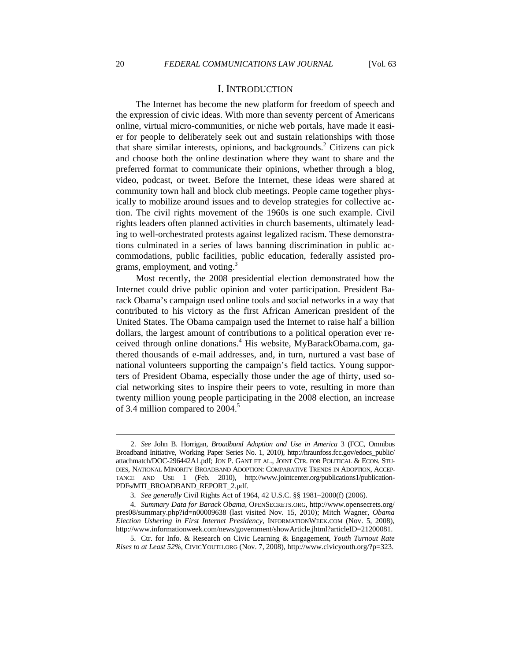## I. INTRODUCTION

The Internet has become the new platform for freedom of speech and the expression of civic ideas. With more than seventy percent of Americans online, virtual micro-communities, or niche web portals, have made it easier for people to deliberately seek out and sustain relationships with those that share similar interests, opinions, and backgrounds.<sup>2</sup> Citizens can pick and choose both the online destination where they want to share and the preferred format to communicate their opinions, whether through a blog, video, podcast, or tweet. Before the Internet, these ideas were shared at community town hall and block club meetings. People came together physically to mobilize around issues and to develop strategies for collective action. The civil rights movement of the 1960s is one such example. Civil rights leaders often planned activities in church basements, ultimately leading to well-orchestrated protests against legalized racism. These demonstrations culminated in a series of laws banning discrimination in public accommodations, public facilities, public education, federally assisted programs, employment, and voting.<sup>3</sup>

Most recently, the 2008 presidential election demonstrated how the Internet could drive public opinion and voter participation. President Barack Obama's campaign used online tools and social networks in a way that contributed to his victory as the first African American president of the United States. The Obama campaign used the Internet to raise half a billion dollars, the largest amount of contributions to a political operation ever received through online donations.<sup>4</sup> His website, MyBarackObama.com, gathered thousands of e-mail addresses, and, in turn, nurtured a vast base of national volunteers supporting the campaign's field tactics. Young supporters of President Obama, especially those under the age of thirty, used social networking sites to inspire their peers to vote, resulting in more than twenty million young people participating in the 2008 election, an increase of 3.4 million compared to  $2004$ .<sup>5</sup>

 <sup>2.</sup> *See* John B. Horrigan, *Broadband Adoption and Use in America* 3 (FCC, Omnibus Broadband Initiative, Working Paper Series No. 1, 2010), http://hraunfoss.fcc.gov/edocs\_public/ attachmatch/DOC-296442A1.pdf; JON P. GANT ET AL., JOINT CTR. FOR POLITICAL & ECON. STU-DIES, NATIONAL MINORITY BROADBAND ADOPTION: COMPARATIVE TRENDS IN ADOPTION, ACCEP-TANCE AND USE 1 (Feb. 2010), http://www.jointcenter.org/publications1/publication-PDFs/MTI\_BROADBAND\_REPORT\_2.pdf.

 <sup>3.</sup> *See generally* Civil Rights Act of 1964, 42 U.S.C. §§ 1981–2000(f) (2006).

 <sup>4.</sup> *Summary Data for Barack Obama*, OPENSECRETS.ORG, http://www.opensecrets.org/ pres08/summary.php?id=n00009638 (last visited Nov. 15, 2010); Mitch Wagner, *Obama Election Ushering in First Internet Presidency*, INFORMATIONWEEK.COM (Nov. 5, 2008), http://www.informationweek.com/news/government/showArticle.jhtml?articleID=21200081.

 <sup>5.</sup> Ctr. for Info. & Research on Civic Learning & Engagement, *Youth Turnout Rate Rises to at Least 52%*, CIVICYOUTH.ORG (Nov. 7, 2008), http://www.civicyouth.org/?p=323.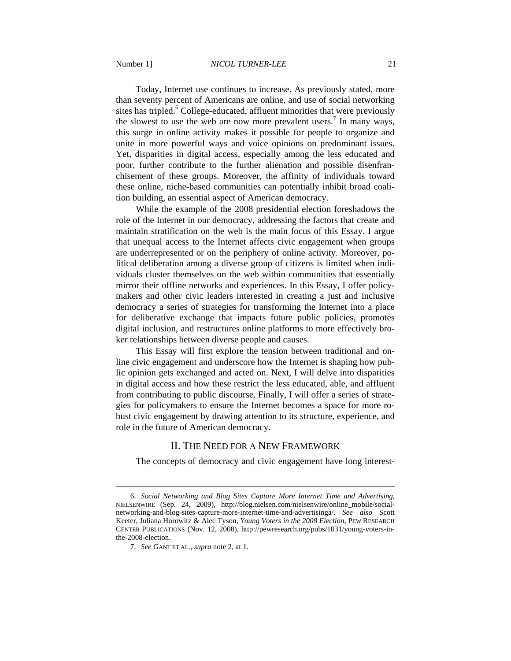Today, Internet use continues to increase. As previously stated, more than seventy percent of Americans are online, and use of social networking sites has tripled.<sup>6</sup> College-educated, affluent minorities that were previously the slowest to use the web are now more prevalent users.<sup>7</sup> In many ways, this surge in online activity makes it possible for people to organize and unite in more powerful ways and voice opinions on predominant issues. Yet, disparities in digital access, especially among the less educated and poor, further contribute to the further alienation and possible disenfranchisement of these groups. Moreover, the affinity of individuals toward these online, niche-based communities can potentially inhibit broad coalition building, an essential aspect of American democracy.

While the example of the 2008 presidential election foreshadows the role of the Internet in our democracy, addressing the factors that create and maintain stratification on the web is the main focus of this Essay. I argue that unequal access to the Internet affects civic engagement when groups are underrepresented or on the periphery of online activity. Moreover, political deliberation among a diverse group of citizens is limited when individuals cluster themselves on the web within communities that essentially mirror their offline networks and experiences. In this Essay, I offer policymakers and other civic leaders interested in creating a just and inclusive democracy a series of strategies for transforming the Internet into a place for deliberative exchange that impacts future public policies, promotes digital inclusion, and restructures online platforms to more effectively broker relationships between diverse people and causes.

This Essay will first explore the tension between traditional and online civic engagement and underscore how the Internet is shaping how public opinion gets exchanged and acted on. Next, I will delve into disparities in digital access and how these restrict the less educated, able, and affluent from contributing to public discourse. Finally, I will offer a series of strategies for policymakers to ensure the Internet becomes a space for more robust civic engagement by drawing attention to its structure, experience, and role in the future of American democracy.

## II. THE NEED FOR A NEW FRAMEWORK

The concepts of democracy and civic engagement have long interest-

 <sup>6.</sup> *Social Networking and Blog Sites Capture More Internet Time and Advertising*, NIELSENWIRE (Sep. 24, 2009), http://blog.nielsen.com/nielsenwire/online\_mobile/socialnetworking-and-blog-sites-capture-more-internet-time-and-advertisinga/. *See also* Scott Keeter, Juliana Horowitz & Alec Tyson, *Young Voters in the 2008 Election*, PEW RESEARCH CENTER PUBLICATIONS (Nov. 12, 2008), http://pewresearch.org/pubs/1031/young-voters-inthe-2008-election.

 <sup>7.</sup> *See* GANT ET AL., *supra* note 2, at 1.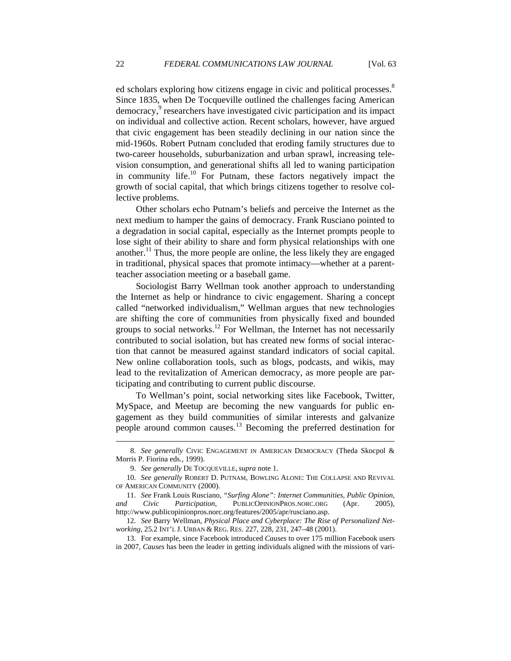ed scholars exploring how citizens engage in civic and political processes.<sup>8</sup> Since 1835, when De Tocqueville outlined the challenges facing American democracy,<sup>9</sup> researchers have investigated civic participation and its impact on individual and collective action. Recent scholars, however, have argued that civic engagement has been steadily declining in our nation since the mid-1960s. Robert Putnam concluded that eroding family structures due to two-career households, suburbanization and urban sprawl, increasing television consumption, and generational shifts all led to waning participation in community life.<sup>10</sup> For Putnam, these factors negatively impact the growth of social capital, that which brings citizens together to resolve collective problems.

Other scholars echo Putnam's beliefs and perceive the Internet as the next medium to hamper the gains of democracy. Frank Rusciano pointed to a degradation in social capital, especially as the Internet prompts people to lose sight of their ability to share and form physical relationships with one another.<sup>11</sup> Thus, the more people are online, the less likely they are engaged in traditional, physical spaces that promote intimacy—whether at a parentteacher association meeting or a baseball game.

Sociologist Barry Wellman took another approach to understanding the Internet as help or hindrance to civic engagement. Sharing a concept called "networked individualism," Wellman argues that new technologies are shifting the core of communities from physically fixed and bounded groups to social networks.<sup>12</sup> For Wellman, the Internet has not necessarily contributed to social isolation, but has created new forms of social interaction that cannot be measured against standard indicators of social capital. New online collaboration tools, such as blogs, podcasts, and wikis, may lead to the revitalization of American democracy, as more people are participating and contributing to current public discourse.

To Wellman's point, social networking sites like Facebook, Twitter, MySpace, and Meetup are becoming the new vanguards for public engagement as they build communities of similar interests and galvanize people around common causes.<sup>13</sup> Becoming the preferred destination for

 <sup>8.</sup> *See generally* CIVIC ENGAGEMENT IN AMERICAN DEMOCRACY (Theda Skocpol & Morris P. Fiorina eds., 1999).

 <sup>9.</sup> *See generally* DE TOCQUEVILLE, *supra* note 1.

 <sup>10.</sup> *See generally* ROBERT D. PUTNAM, BOWLING ALONE: THE COLLAPSE AND REVIVAL OF AMERICAN COMMUNITY (2000).

 <sup>11.</sup> *See* Frank Louis Rusciano, *"Surfing Alone": Internet Communities, Public Opinion, and Civic Participation*, PUBLICOPINIONPROS.NORC.ORG (Apr. 2005), http://www.publicopinionpros.norc.org/features/2005/apr/rusciano.asp.

 <sup>12.</sup> *See* Barry Wellman, *Physical Place and Cyberplace: The Rise of Personalized Networking*, 25.2 INT'L J. URBAN & REG. RES. 227, 228, 231, 247–48 (2001).

 <sup>13.</sup> For example, since Facebook introduced *Causes* to over 175 million Facebook users in 2007, *Causes* has been the leader in getting individuals aligned with the missions of vari-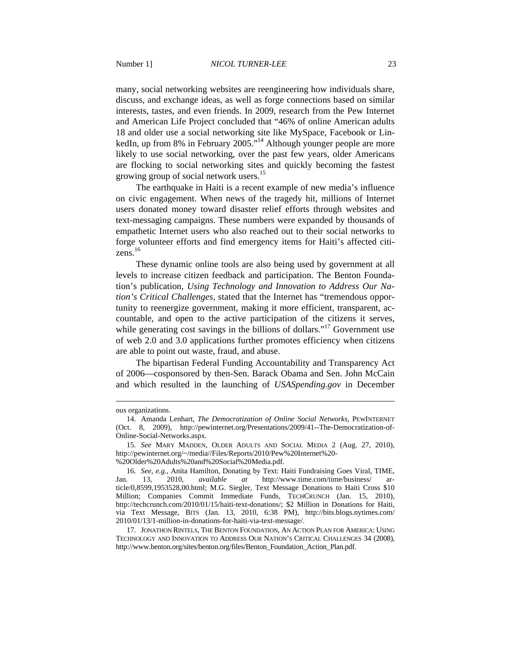many, social networking websites are reengineering how individuals share, discuss, and exchange ideas, as well as forge connections based on similar interests, tastes, and even friends. In 2009, research from the Pew Internet and American Life Project concluded that "46% of online American adults 18 and older use a social networking site like MySpace, Facebook or LinkedIn, up from 8% in February 2005.<sup>"14</sup> Although younger people are more likely to use social networking, over the past few years, older Americans are flocking to social networking sites and quickly becoming the fastest growing group of social network users.<sup>15</sup>

The earthquake in Haiti is a recent example of new media's influence on civic engagement. When news of the tragedy hit, millions of Internet users donated money toward disaster relief efforts through websites and text-messaging campaigns. These numbers were expanded by thousands of empathetic Internet users who also reached out to their social networks to forge volunteer efforts and find emergency items for Haiti's affected citizens. $^{16}$ 

These dynamic online tools are also being used by government at all levels to increase citizen feedback and participation. The Benton Foundation's publication, *Using Technology and Innovation to Address Our Nation's Critical Challenges,* stated that the Internet has "tremendous opportunity to reenergize government, making it more efficient, transparent, accountable, and open to the active participation of the citizens it serves, while generating cost savings in the billions of dollars."<sup>17</sup> Government use of web 2.0 and 3.0 applications further promotes efficiency when citizens are able to point out waste, fraud, and abuse.

The bipartisan Federal Funding Accountability and Transparency Act of 2006—cosponsored by then-Sen. Barack Obama and Sen. John McCain and which resulted in the launching of *USASpending.gov* in December

ous organizations.

 <sup>14.</sup> Amanda Lenhart, *The Democratization of Online Social Networks*, PEWINTERNET (Oct. 8, 2009), http://pewinternet.org/Presentations/2009/41--The-Democratization-of-Online-Social-Networks.aspx.

 <sup>15.</sup> *See* MARY MADDEN, OLDER ADULTS AND SOCIAL MEDIA 2 (Aug. 27, 2010), http://pewinternet.org/~/media//Files/Reports/2010/Pew%20Internet%20- %20Older%20Adults%20and%20Social%20Media.pdf.

 <sup>16.</sup> *See, e.g.*, Anita Hamilton, Donating by Text: Haiti Fundraising Goes Viral, TIME, Jan. 13, 2010, *available at* http://www.time.com/time/business/ article/0,8599,1953528,00.html; M.G. Siegler, Text Message Donations to Haiti Cross \$10 Million; Companies Commit Immediate Funds, TECHCRUNCH (Jan. 15, 2010), http://techcrunch.com/2010/01/15/haiti-text-donations/; \$2 Million in Donations for Haiti, via Text Message, BITS (Jan. 13, 2010, 6:38 PM), http://bits.blogs.nytimes.com/ 2010/01/13/1-million-in-donations-for-haiti-via-text-message/.

 <sup>17.</sup> JONATHON RINTELS, THE BENTON FOUNDATION, AN ACTION PLAN FOR AMERICA: USING TECHNOLOGY AND INNOVATION TO ADDRESS OUR NATION'S CRITICAL CHALLENGES 34 (2008), http://www.benton.org/sites/benton.org/files/Benton\_Foundation\_Action\_Plan.pdf.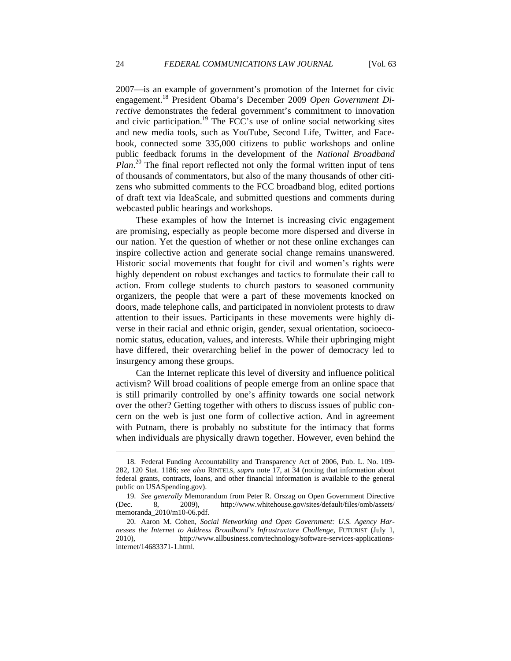2007—is an example of government's promotion of the Internet for civic engagement.18 President Obama's December 2009 *Open Government Directive* demonstrates the federal government's commitment to innovation and civic participation.<sup>19</sup> The FCC's use of online social networking sites and new media tools, such as YouTube, Second Life, Twitter, and Facebook, connected some 335,000 citizens to public workshops and online public feedback forums in the development of the *National Broadband Plan*. 20 The final report reflected not only the formal written input of tens of thousands of commentators, but also of the many thousands of other citizens who submitted comments to the FCC broadband blog, edited portions of draft text via IdeaScale, and submitted questions and comments during webcasted public hearings and workshops.

These examples of how the Internet is increasing civic engagement are promising, especially as people become more dispersed and diverse in our nation. Yet the question of whether or not these online exchanges can inspire collective action and generate social change remains unanswered. Historic social movements that fought for civil and women's rights were highly dependent on robust exchanges and tactics to formulate their call to action. From college students to church pastors to seasoned community organizers, the people that were a part of these movements knocked on doors, made telephone calls, and participated in nonviolent protests to draw attention to their issues. Participants in these movements were highly diverse in their racial and ethnic origin, gender, sexual orientation, socioeconomic status, education, values, and interests. While their upbringing might have differed, their overarching belief in the power of democracy led to insurgency among these groups.

Can the Internet replicate this level of diversity and influence political activism? Will broad coalitions of people emerge from an online space that is still primarily controlled by one's affinity towards one social network over the other? Getting together with others to discuss issues of public concern on the web is just one form of collective action. And in agreement with Putnam, there is probably no substitute for the intimacy that forms when individuals are physically drawn together. However, even behind the

 <sup>18.</sup> Federal Funding Accountability and Transparency Act of 2006, Pub. L. No. 109- 282, 120 Stat. 1186; *see also* RINTELS, *supra* note 17, at 34 (noting that information about federal grants, contracts, loans, and other financial information is available to the general public on USASpending.gov).

 <sup>19.</sup> *See generally* Memorandum from Peter R. Orszag on Open Government Directive (Dec. 8, 2009), http://www.whitehouse.gov/sites/default/files/omb/assets/ memoranda\_2010/m10-06.pdf.

 <sup>20.</sup> Aaron M. Cohen, *Social Networking and Open Government: U.S. Agency Harnesses the Internet to Address Broadband's Infrastructure Challenge*, FUTURIST (July 1, 2010), http://www.allbusiness.com/technology/software-services-applicationsinternet/14683371-1.html.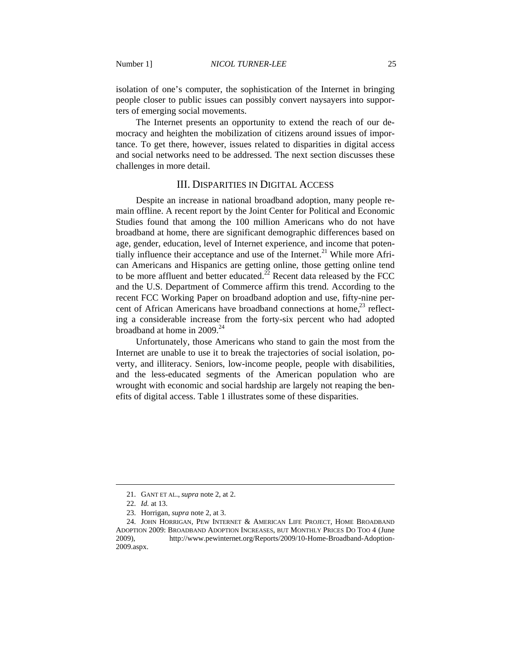isolation of one's computer, the sophistication of the Internet in bringing people closer to public issues can possibly convert naysayers into supporters of emerging social movements.

The Internet presents an opportunity to extend the reach of our democracy and heighten the mobilization of citizens around issues of importance. To get there, however, issues related to disparities in digital access and social networks need to be addressed. The next section discusses these challenges in more detail.

### III. DISPARITIES IN DIGITAL ACCESS

Despite an increase in national broadband adoption, many people remain offline. A recent report by the Joint Center for Political and Economic Studies found that among the 100 million Americans who do not have broadband at home, there are significant demographic differences based on age, gender, education, level of Internet experience, and income that potentially influence their acceptance and use of the Internet.<sup>21</sup> While more African Americans and Hispanics are getting online, those getting online tend to be more affluent and better educated.<sup>22</sup> Recent data released by the FCC and the U.S. Department of Commerce affirm this trend. According to the recent FCC Working Paper on broadband adoption and use, fifty-nine percent of African Americans have broadband connections at home, $^{23}$  reflecting a considerable increase from the forty-six percent who had adopted broadband at home in 2009.<sup>24</sup>

Unfortunately, those Americans who stand to gain the most from the Internet are unable to use it to break the trajectories of social isolation, poverty, and illiteracy. Seniors, low-income people, people with disabilities, and the less-educated segments of the American population who are wrought with economic and social hardship are largely not reaping the benefits of digital access. Table 1 illustrates some of these disparities.

 <sup>21.</sup> GANT ET AL., *supra* note 2, at 2.

 <sup>22.</sup> *Id.* at 13.

 <sup>23.</sup> Horrigan, *supra* note 2, at 3.

 <sup>24.</sup> JOHN HORRIGAN, PEW INTERNET & AMERICAN LIFE PROJECT, HOME BROADBAND ADOPTION 2009: BROADBAND ADOPTION INCREASES, BUT MONTHLY PRICES DO TOO 4 (June 2009), http://www.pewinternet.org/Reports/2009/10-Home-Broadband-Adoption-2009.aspx.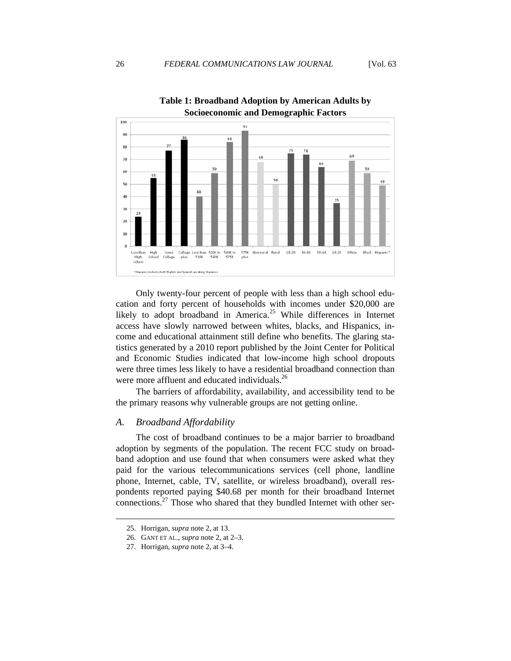

**Table 1: Broadband Adoption by American Adults by** 

Only twenty-four percent of people with less than a high school education and forty percent of households with incomes under \$20,000 are likely to adopt broadband in America.<sup>25</sup> While differences in Internet access have slowly narrowed between whites, blacks, and Hispanics, income and educational attainment still define who benefits. The glaring statistics generated by a 2010 report published by the Joint Center for Political and Economic Studies indicated that low-income high school dropouts were three times less likely to have a residential broadband connection than were more affluent and educated individuals.<sup>26</sup>

The barriers of affordability, availability, and accessibility tend to be the primary reasons why vulnerable groups are not getting online.

#### *A. Broadband Affordability*

The cost of broadband continues to be a major barrier to broadband adoption by segments of the population. The recent FCC study on broadband adoption and use found that when consumers were asked what they paid for the various telecommunications services (cell phone, landline phone, Internet, cable, TV, satellite, or wireless broadband), overall respondents reported paying \$40.68 per month for their broadband Internet connections.<sup>27</sup> Those who shared that they bundled Internet with other ser-

 <sup>25.</sup> Horrigan, *supra* note 2, at 13.

 <sup>26.</sup> GANT ET AL., *supra* note 2, at 2–3.

 <sup>27.</sup> Horrigan, *supra* note 2, at 3–4.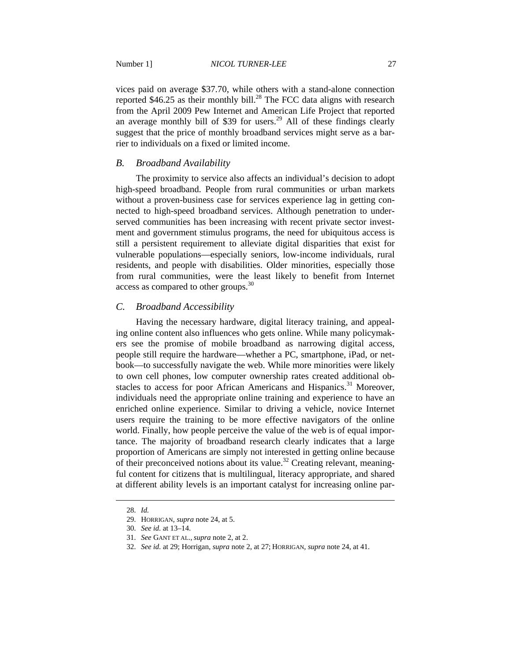vices paid on average \$37.70, while others with a stand-alone connection reported  $$46.25$  as their monthly bill.<sup>28</sup> The FCC data aligns with research from the April 2009 Pew Internet and American Life Project that reported an average monthly bill of \$39 for users.<sup>29</sup> All of these findings clearly suggest that the price of monthly broadband services might serve as a barrier to individuals on a fixed or limited income.

#### *B. Broadband Availability*

The proximity to service also affects an individual's decision to adopt high-speed broadband. People from rural communities or urban markets without a proven-business case for services experience lag in getting connected to high-speed broadband services. Although penetration to underserved communities has been increasing with recent private sector investment and government stimulus programs, the need for ubiquitous access is still a persistent requirement to alleviate digital disparities that exist for vulnerable populations—especially seniors, low-income individuals, rural residents, and people with disabilities. Older minorities, especially those from rural communities, were the least likely to benefit from Internet access as compared to other groups.<sup>30</sup>

## *C. Broadband Accessibility*

Having the necessary hardware, digital literacy training, and appealing online content also influences who gets online. While many policymakers see the promise of mobile broadband as narrowing digital access, people still require the hardware—whether a PC, smartphone, iPad, or netbook—to successfully navigate the web. While more minorities were likely to own cell phones, low computer ownership rates created additional obstacles to access for poor African Americans and Hispanics.<sup>31</sup> Moreover, individuals need the appropriate online training and experience to have an enriched online experience. Similar to driving a vehicle, novice Internet users require the training to be more effective navigators of the online world. Finally, how people perceive the value of the web is of equal importance. The majority of broadband research clearly indicates that a large proportion of Americans are simply not interested in getting online because of their preconceived notions about its value.<sup>32</sup> Creating relevant, meaningful content for citizens that is multilingual, literacy appropriate, and shared at different ability levels is an important catalyst for increasing online par-

 <sup>28.</sup> *Id.*

 <sup>29.</sup> HORRIGAN, *supra* note 24, at 5.

 <sup>30.</sup> *See id.* at 13–14.

 <sup>31.</sup> *See* GANT ET AL., *supra* note 2, at 2.

 <sup>32.</sup> *See id.* at 29; Horrigan, *supra* note 2, at 27; HORRIGAN, *supra* note 24, at 41.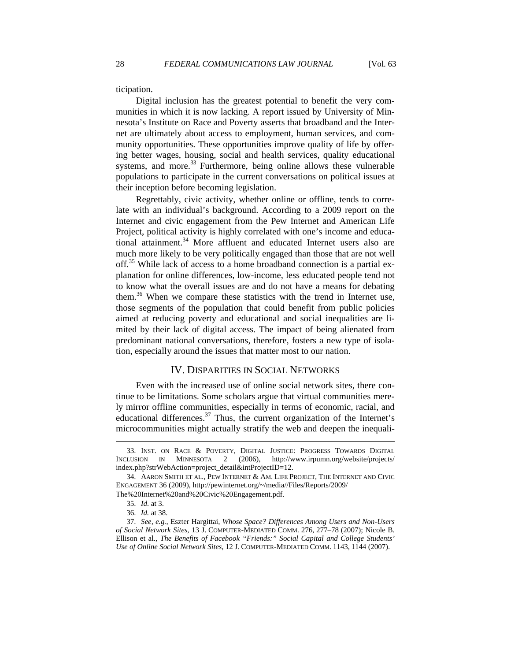ticipation.

Digital inclusion has the greatest potential to benefit the very communities in which it is now lacking. A report issued by University of Minnesota's Institute on Race and Poverty asserts that broadband and the Internet are ultimately about access to employment, human services, and community opportunities. These opportunities improve quality of life by offering better wages, housing, social and health services, quality educational systems, and more.<sup>33</sup> Furthermore, being online allows these vulnerable populations to participate in the current conversations on political issues at their inception before becoming legislation.

Regrettably, civic activity, whether online or offline, tends to correlate with an individual's background. According to a 2009 report on the Internet and civic engagement from the Pew Internet and American Life Project, political activity is highly correlated with one's income and educational attainment. $34$  More affluent and educated Internet users also are much more likely to be very politically engaged than those that are not well off.<sup>35</sup> While lack of access to a home broadband connection is a partial explanation for online differences, low-income, less educated people tend not to know what the overall issues are and do not have a means for debating them.<sup>36</sup> When we compare these statistics with the trend in Internet use, those segments of the population that could benefit from public policies aimed at reducing poverty and educational and social inequalities are limited by their lack of digital access. The impact of being alienated from predominant national conversations, therefore, fosters a new type of isolation, especially around the issues that matter most to our nation.

## IV. DISPARITIES IN SOCIAL NETWORKS

Even with the increased use of online social network sites, there continue to be limitations. Some scholars argue that virtual communities merely mirror offline communities, especially in terms of economic, racial, and educational differences.<sup>37</sup> Thus, the current organization of the Internet's microcommunities might actually stratify the web and deepen the inequali-

 <sup>33.</sup> INST. ON RACE & POVERTY, DIGITAL JUSTICE: PROGRESS TOWARDS DIGITAL INCLUSION IN MINNESOTA 2 (2006), http://www.irpumn.org/website/projects/ index.php?strWebAction=project\_detail&intProjectID=12.

 <sup>34.</sup> AARON SMITH ET AL., PEW INTERNET & AM. LIFE PROJECT, THE INTERNET AND CIVIC ENGAGEMENT 36 (2009), http://pewinternet.org/~/media//Files/Reports/2009/

The%20Internet%20and%20Civic%20Engagement.pdf.

 <sup>35.</sup> *Id.* at 3.

 <sup>36.</sup> *Id.* at 38.

 <sup>37.</sup> *See, e.g.*, Eszter Hargittai, *Whose Space? Differences Among Users and Non-Users of Social Network Sites*, 13 J. COMPUTER-MEDIATED COMM. 276, 277–78 (2007); Nicole B. Ellison et al., *The Benefits of Facebook "Friends:" Social Capital and College Students' Use of Online Social Network Sites*, 12 J. COMPUTER-MEDIATED COMM. 1143, 1144 (2007).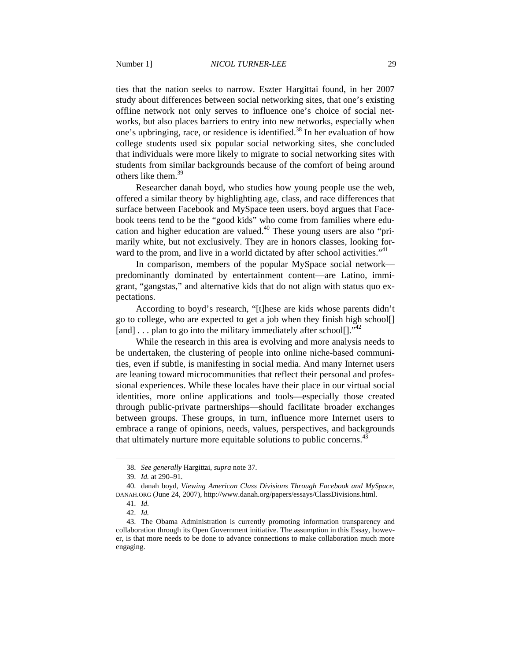ties that the nation seeks to narrow. Eszter Hargittai found, in her 2007 study about differences between social networking sites, that one's existing offline network not only serves to influence one's choice of social networks, but also places barriers to entry into new networks, especially when one's upbringing, race, or residence is identified.<sup>38</sup> In her evaluation of how college students used six popular social networking sites, she concluded that individuals were more likely to migrate to social networking sites with students from similar backgrounds because of the comfort of being around others like them.<sup>39</sup>

Researcher danah boyd, who studies how young people use the web, offered a similar theory by highlighting age, class, and race differences that surface between Facebook and MySpace teen users. boyd argues that Facebook teens tend to be the "good kids" who come from families where education and higher education are valued.<sup>40</sup> These young users are also "primarily white, but not exclusively. They are in honors classes, looking forward to the prom, and live in a world dictated by after school activities."<sup>41</sup>

In comparison, members of the popular MySpace social network predominantly dominated by entertainment content—are Latino, immigrant, "gangstas," and alternative kids that do not align with status quo expectations.

According to boyd's research, "[t]hese are kids whose parents didn't go to college, who are expected to get a job when they finish high school[] [and] ... plan to go into the military immediately after school[]."<sup>42</sup>

While the research in this area is evolving and more analysis needs to be undertaken, the clustering of people into online niche-based communities, even if subtle, is manifesting in social media. And many Internet users are leaning toward microcommunities that reflect their personal and professional experiences. While these locales have their place in our virtual social identities, more online applications and tools—especially those created through public-private partnerships—should facilitate broader exchanges between groups. These groups, in turn, influence more Internet users to embrace a range of opinions, needs, values, perspectives, and backgrounds that ultimately nurture more equitable solutions to public concerns.<sup>43</sup>

 <sup>38.</sup> *See generally* Hargittai, *supra* note 37.

 <sup>39.</sup> *Id.* at 290–91.

 <sup>40.</sup> danah boyd, *Viewing American Class Divisions Through Facebook and MySpace*, DANAH.ORG (June 24, 2007), http://www.danah.org/papers/essays/ClassDivisions.html.

 <sup>41.</sup> *Id.* 

 <sup>42.</sup> *Id.*

 <sup>43.</sup> The Obama Administration is currently promoting information transparency and collaboration through its Open Government initiative. The assumption in this Essay, however, is that more needs to be done to advance connections to make collaboration much more engaging.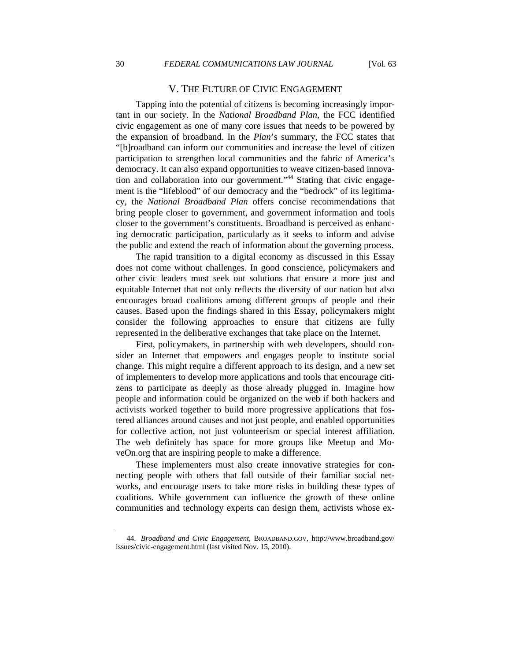## V. THE FUTURE OF CIVIC ENGAGEMENT

Tapping into the potential of citizens is becoming increasingly important in our society. In the *National Broadband Plan*, the FCC identified civic engagement as one of many core issues that needs to be powered by the expansion of broadband. In the *Plan*'s summary, the FCC states that "[b]roadband can inform our communities and increase the level of citizen participation to strengthen local communities and the fabric of America's democracy. It can also expand opportunities to weave citizen-based innovation and collaboration into our government."<sup>44</sup> Stating that civic engagement is the "lifeblood" of our democracy and the "bedrock" of its legitimacy, the *National Broadband Plan* offers concise recommendations that bring people closer to government, and government information and tools closer to the government's constituents. Broadband is perceived as enhancing democratic participation, particularly as it seeks to inform and advise the public and extend the reach of information about the governing process.

The rapid transition to a digital economy as discussed in this Essay does not come without challenges. In good conscience, policymakers and other civic leaders must seek out solutions that ensure a more just and equitable Internet that not only reflects the diversity of our nation but also encourages broad coalitions among different groups of people and their causes. Based upon the findings shared in this Essay, policymakers might consider the following approaches to ensure that citizens are fully represented in the deliberative exchanges that take place on the Internet.

First, policymakers, in partnership with web developers, should consider an Internet that empowers and engages people to institute social change. This might require a different approach to its design, and a new set of implementers to develop more applications and tools that encourage citizens to participate as deeply as those already plugged in. Imagine how people and information could be organized on the web if both hackers and activists worked together to build more progressive applications that fostered alliances around causes and not just people, and enabled opportunities for collective action, not just volunteerism or special interest affiliation. The web definitely has space for more groups like Meetup and MoveOn.org that are inspiring people to make a difference.

These implementers must also create innovative strategies for connecting people with others that fall outside of their familiar social networks, and encourage users to take more risks in building these types of coalitions. While government can influence the growth of these online communities and technology experts can design them, activists whose ex-

 <sup>44.</sup> *Broadband and Civic Engagement*, BROADBAND.GOV, http://www.broadband.gov/ issues/civic-engagement.html (last visited Nov. 15, 2010).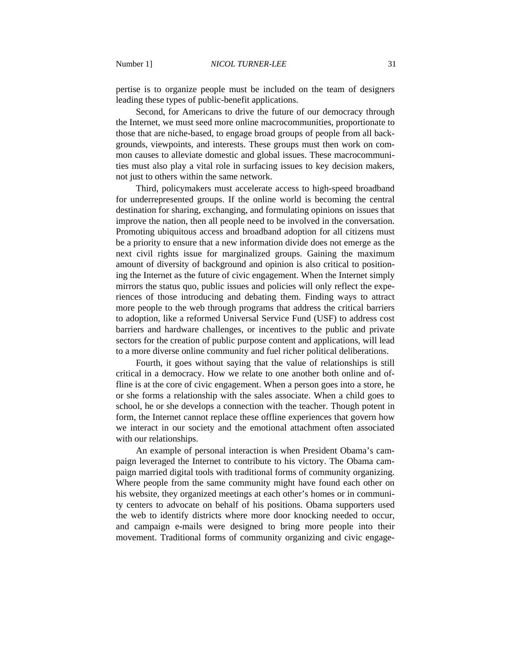pertise is to organize people must be included on the team of designers leading these types of public-benefit applications.

Second, for Americans to drive the future of our democracy through the Internet, we must seed more online macrocommunities, proportionate to those that are niche-based, to engage broad groups of people from all backgrounds, viewpoints, and interests. These groups must then work on common causes to alleviate domestic and global issues. These macrocommunities must also play a vital role in surfacing issues to key decision makers, not just to others within the same network.

Third, policymakers must accelerate access to high-speed broadband for underrepresented groups. If the online world is becoming the central destination for sharing, exchanging, and formulating opinions on issues that improve the nation, then all people need to be involved in the conversation. Promoting ubiquitous access and broadband adoption for all citizens must be a priority to ensure that a new information divide does not emerge as the next civil rights issue for marginalized groups. Gaining the maximum amount of diversity of background and opinion is also critical to positioning the Internet as the future of civic engagement. When the Internet simply mirrors the status quo, public issues and policies will only reflect the experiences of those introducing and debating them. Finding ways to attract more people to the web through programs that address the critical barriers to adoption, like a reformed Universal Service Fund (USF) to address cost barriers and hardware challenges, or incentives to the public and private sectors for the creation of public purpose content and applications, will lead to a more diverse online community and fuel richer political deliberations.

Fourth, it goes without saying that the value of relationships is still critical in a democracy. How we relate to one another both online and offline is at the core of civic engagement. When a person goes into a store, he or she forms a relationship with the sales associate. When a child goes to school, he or she develops a connection with the teacher. Though potent in form, the Internet cannot replace these offline experiences that govern how we interact in our society and the emotional attachment often associated with our relationships.

An example of personal interaction is when President Obama's campaign leveraged the Internet to contribute to his victory. The Obama campaign married digital tools with traditional forms of community organizing. Where people from the same community might have found each other on his website, they organized meetings at each other's homes or in community centers to advocate on behalf of his positions. Obama supporters used the web to identify districts where more door knocking needed to occur, and campaign e-mails were designed to bring more people into their movement. Traditional forms of community organizing and civic engage